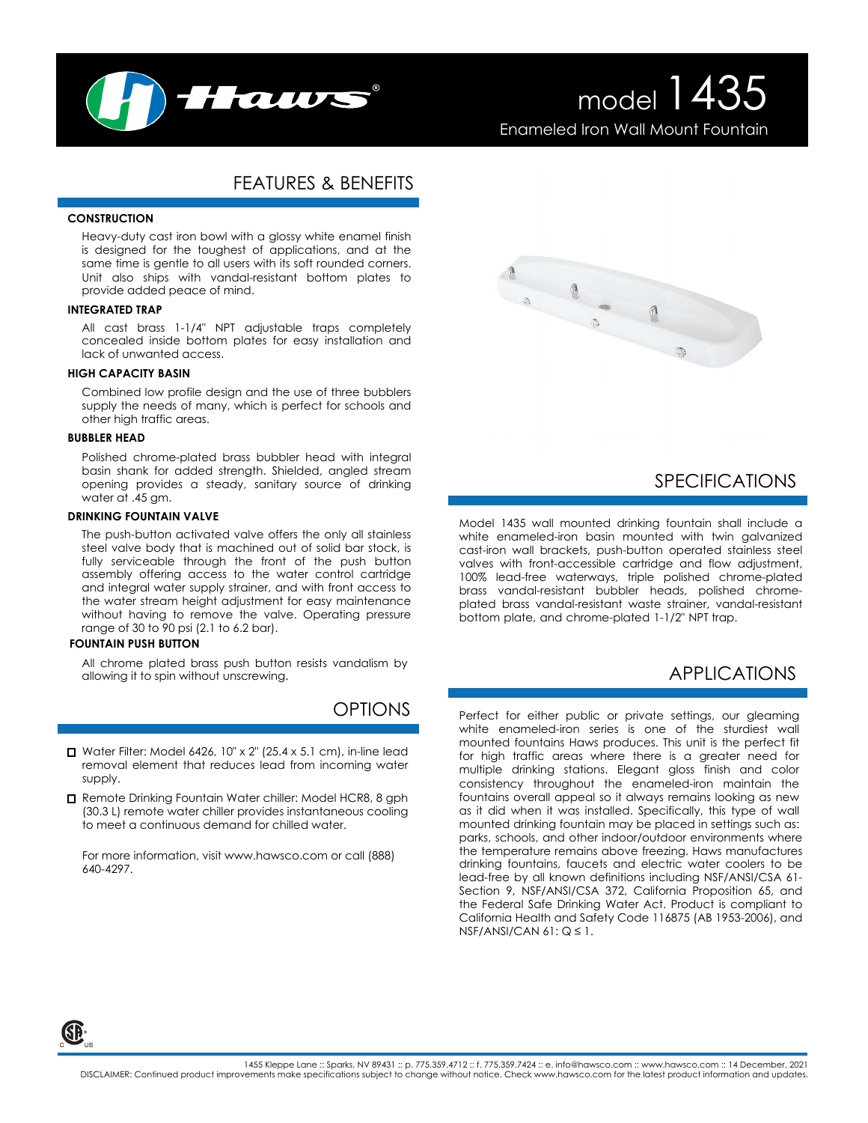

# model 1435 Enameled Iron Wall Mount Fountain

## FEATURES & BENEFITS

#### **CONSTRUCTION**

Heavy-duty cast iron bowl with a glossy white enamel finish is designed for the toughest of applications, and at the same time is gentle to all users with its soft rounded corners. Unit also ships with vandal-resistant bottom plates to provide added peace of mind.

#### **INTEGRATED TRAP**

All cast brass 1-1/4" NPT adjustable traps completely concealed inside bottom plates for easy installation and lack of unwanted access.

### **HIGH CAPACITY BASIN**

Combined low profile design and the use of three bubblers supply the needs of many, which is perfect for schools and other high traffic areas.

#### **BUBBLER HEAD**

Polished chrome-plated brass bubbler head with integral basin shank for added strength. Shielded, angled stream opening provides a steady, sanitary source of drinking water at .45 gm.

#### **DRINKING FOUNTAIN VALVE**

The push-button activated valve offers the only all stainless steel valve body that is machined out of solid bar stock, is fully serviceable through the front of the push button assembly offering access to the water control cartridge and integral water supply strainer, and with front access to the water stream height adjustment for easy maintenance without having to remove the valve. Operating pressure range of 30 to 90 psi (2.1 to 6.2 bar).

#### **FOUNTAIN PUSH BUTTON**

All chrome plated brass push button resists vandalism by allowing it to spin without unscrewing.

# **OPTIONS**

- $\Box$  Water Filter: Model 6426, 10" x 2" (25.4 x 5.1 cm), in-line lead removal element that reduces lead from incoming water supply.
- Remote Drinking Fountain Water chiller: Model HCR8, 8 gph (30.3 L) remote water chiller provides instantaneous cooling to meet a continuous demand for chilled water.

For more information, visit www.hawsco.com or call (888) 640-4297.



### SPECIFICATIONS

Model 1435 wall mounted drinking fountain shall include a white enameled-iron basin mounted with twin galvanized cast-iron wall brackets, push-button operated stainless steel valves with front-accessible cartridge and flow adjustment, 100% lead-free waterways, triple polished chrome-plated brass vandal-resistant bubbler heads, polished chromeplated brass vandal-resistant waste strainer, vandal-resistant bottom plate, and chrome-plated 1-1/2" NPT trap.

# APPLICATIONS

Perfect for either public or private settings, our gleaming white enameled-iron series is one of the sturdiest wall mounted fountains Haws produces. This unit is the perfect fit for high traffic areas where there is a greater need for multiple drinking stations. Elegant gloss finish and color consistency throughout the enameled-iron maintain the fountains overall appeal so it always remains looking as new as it did when it was installed. Specifically, this type of wall mounted drinking fountain may be placed in settings such as: parks, schools, and other indoor/outdoor environments where the temperature remains above freezing. Haws manufactures drinking fountains, faucets and electric water coolers to be lead-free by all known definitions including NSF/ANSI/CSA 61- Section 9, NSF/ANSI/CSA 372, California Proposition 65, and the Federal Safe Drinking Water Act. Product is compliant to California Health and Safety Code 116875 (AB 1953-2006), and NSF/ANSI/CAN  $61: Q \leq 1$ .

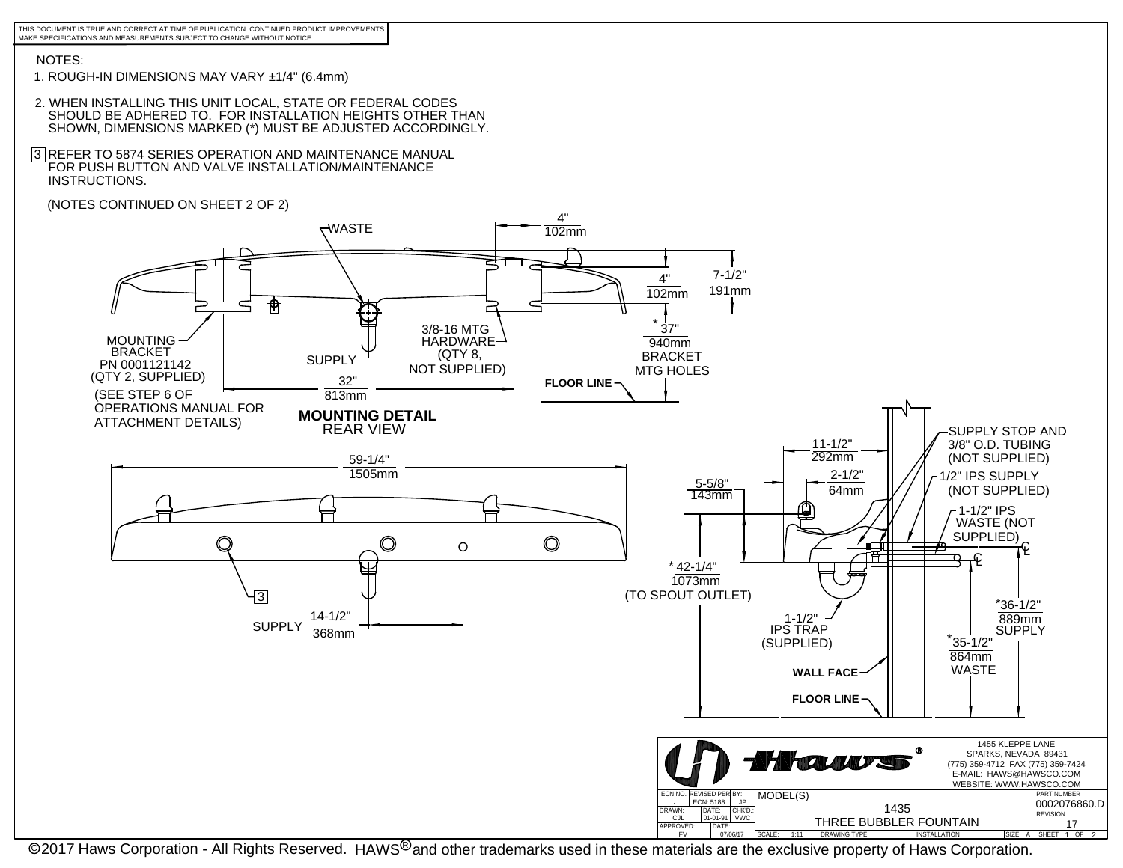THIS DOCUMENT IS TRUE AND CORRECT AT TIME OF PUBLICATION. CONTINUED PRODUCT IMPROVEMENTS MAKE SPECIFICATIONS AND MEASUREMENTS SUBJECT TO CHANGE WITHOUT NOTICE.

### NOTES:

- 1. ROUGH-IN DIMENSIONS MAY VARY ±1/4" (6.4mm)
- 2. WHEN INSTALLING THIS UNIT LOCAL, STATE OR FEDERAL CODES SHOULD BE ADHERED TO. FOR INSTALLATION HEIGHTS OTHER THAN SHOWN, DIMENSIONS MARKED (\*) MUST BE ADJUSTED ACCORDINGLY.
- 3 REFER TO 5874 SERIES OPERATION AND MAINTENANCE MANUAL FOR PUSH BUTTON AND VALVE INSTALLATION/MAINTENANCE INSTRUCTIONS.
- (NOTES CONTINUED ON SHEET 2 OF 2)



In Extermity Installation - All Rights Reserved. HAWS<sup>®</sup> and other trademarks used in these materials are the exclusive property of Haws Corporation. I<sup>SCE: A</sup> I<sup>skeet 1</sup> of 2<br>© 2017 Haws Corporation - All Rights Reserved